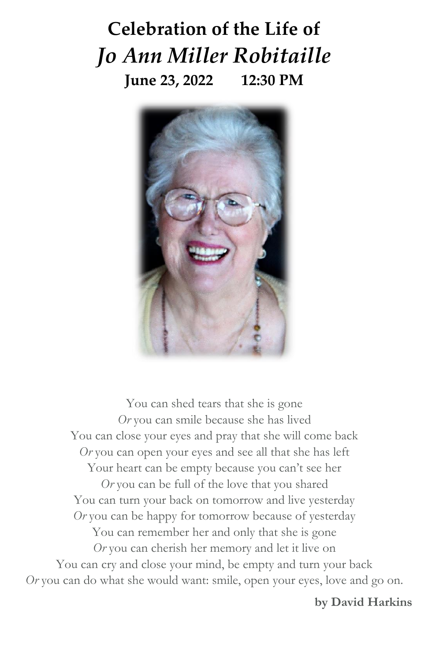# **Celebration of the Life of** *Jo Ann Miller Robitaille* **June 23, 2022 12:30 PM**



You can shed tears that she is gone *Or* you can smile because she has lived You can close your eyes and pray that she will come back *Or* you can open your eyes and see all that she has left Your heart can be empty because you can't see her *Or* you can be full of the love that you shared You can turn your back on tomorrow and live yesterday *Or* you can be happy for tomorrow because of yesterday You can remember her and only that she is gone *Or* you can cherish her memory and let it live on You can cry and close your mind, be empty and turn your back *Or* you can do what she would want: smile, open your eyes, love and go on.

**by David Harkins**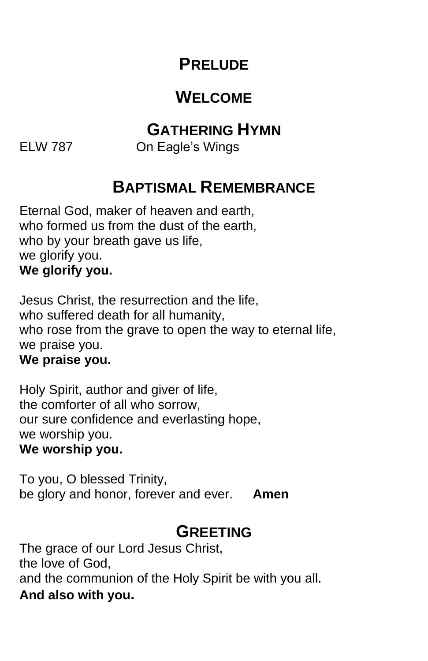## **PRELUDE**

# **WELCOME**

## **GATHERING HYMN**

ELW 787 On Eagle's Wings

## **BAPTISMAL REMEMBRANCE**

Eternal God, maker of heaven and earth, who formed us from the dust of the earth, who by your breath gave us life, we glorify you. **We glorify you.**

Jesus Christ, the resurrection and the life, who suffered death for all humanity, who rose from the grave to open the way to eternal life, we praise you.

#### **We praise you.**

Holy Spirit, author and giver of life, the comforter of all who sorrow, our sure confidence and everlasting hope, we worship you. **We worship you.**

To you, O blessed Trinity, be glory and honor, forever and ever. **Amen**

## **GREETING**

The grace of our Lord Jesus Christ, the love of God, and the communion of the Holy Spirit be with you all. **And also with you.**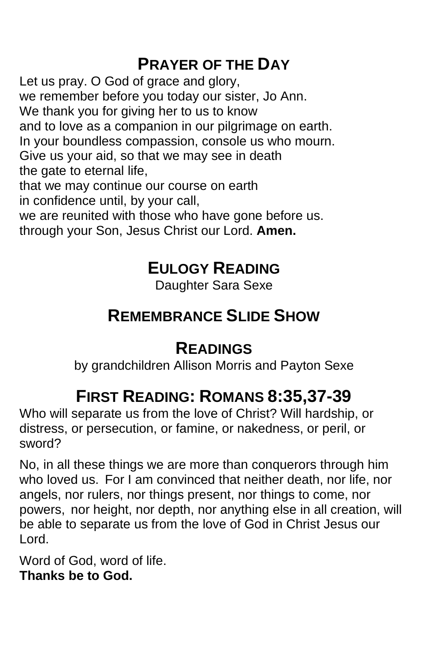# **PRAYER OF THE DAY**

Let us pray. O God of grace and glory, we remember before you today our sister, Jo Ann. We thank you for giving her to us to know and to love as a companion in our pilgrimage on earth. In your boundless compassion, console us who mourn. Give us your aid, so that we may see in death the gate to eternal life, that we may continue our course on earth

in confidence until, by your call,

we are reunited with those who have gone before us.

through your Son, Jesus Christ our Lord. **Amen.**

## **EULOGY READING**

Daughter Sara Sexe

# **REMEMBRANCE SLIDE SHOW**

# **READINGS**

by grandchildren Allison Morris and Payton Sexe

# **FIRST READING: ROMANS 8:35,37-39**

Who will separate us from the love of Christ? Will hardship, or distress, or persecution, or famine, or nakedness, or peril, or sword?

No, in all these things we are more than conquerors through him who loved us. For I am convinced that neither death, nor life, nor angels, nor rulers, nor things present, nor things to come, nor powers, nor height, nor depth, nor anything else in all creation, will be able to separate us from the love of God in Christ Jesus our Lord.

Word of God, word of life. **Thanks be to God.**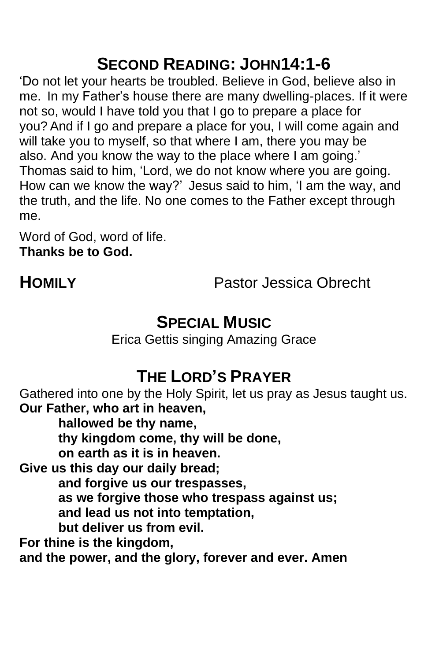# **SECOND READING: JOHN14:1-6**

'Do not let your hearts be troubled. Believe in God, believe also in me. In my Father's house there are many dwelling-places. If it were not so, would I have told you that I go to prepare a place for you? And if I go and prepare a place for you, I will come again and will take you to myself, so that where I am, there you may be also. And you know the way to the place where I am going.' Thomas said to him, 'Lord, we do not know where you are going. How can we know the way?' Jesus said to him, 'I am the way, and the truth, and the life. No one comes to the Father except through me.

Word of God, word of life. **Thanks be to God.**

**HOMILY** Pastor Jessica Obrecht

## **SPECIAL MUSIC**

Erica Gettis singing Amazing Grace

# **THE LORD'S PRAYER**

Gathered into one by the Holy Spirit, let us pray as Jesus taught us. **Our Father, who art in heaven,**

**hallowed be thy name,**

**thy kingdom come, thy will be done,**

**on earth as it is in heaven.** 

**Give us this day our daily bread;**

**and forgive us our trespasses,**

**as we forgive those who trespass against us;**

**and lead us not into temptation,**

**but deliver us from evil.**

**For thine is the kingdom,**

**and the power, and the glory, forever and ever. Amen**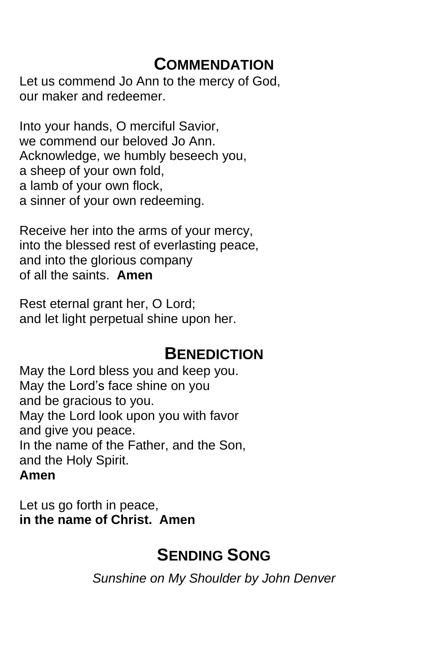## **COMMENDATION**

Let us commend Jo Ann to the mercy of God, our maker and redeemer.

Into your hands, O merciful Savior, we commend our beloved Jo Ann. Acknowledge, we humbly beseech you, a sheep of your own fold, a lamb of your own flock, a sinner of your own redeeming.

Receive her into the arms of your mercy, into the blessed rest of everlasting peace, and into the glorious company of all the saints. **Amen**

Rest eternal grant her, O Lord; and let light perpetual shine upon her.

## **BENEDICTION**

May the Lord bless you and keep you. May the Lord's face shine on you and be gracious to you. May the Lord look upon you with favor and give you peace. In the name of the Father, and the Son, and the Holy Spirit. **Amen**

Let us go forth in peace, **in the name of Christ. Amen**

# **SENDING SONG**

*Sunshine on My Shoulder by John Denver*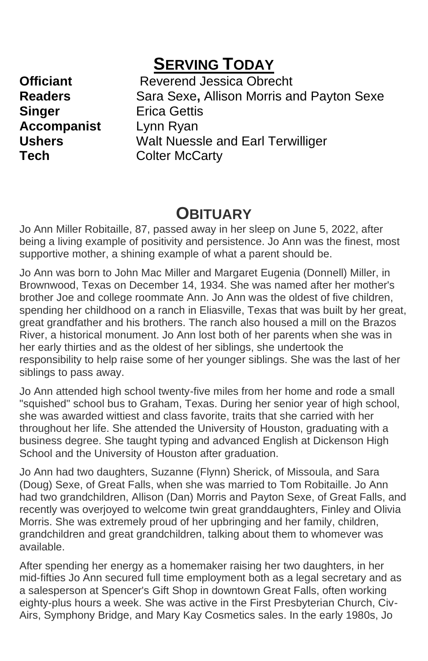## **SERVING TODAY**

**Singer** Erica Gettis **Accompanist** Lynn Ryan

**Officiant** Reverend Jessica Obrecht **Readers** Sara Sexe, Allison Morris and Payton Sexe **Ushers** Walt Nuessle and Earl Terwilliger **Tech** Colter McCarty

### **OBITUARY**

Jo Ann Miller Robitaille, 87, passed away in her sleep on June 5, 2022, after being a living example of positivity and persistence. Jo Ann was the finest, most supportive mother, a shining example of what a parent should be.

Jo Ann was born to John Mac Miller and Margaret Eugenia (Donnell) Miller, in Brownwood, Texas on December 14, 1934. She was named after her mother's brother Joe and college roommate Ann. Jo Ann was the oldest of five children, spending her childhood on a ranch in Eliasville, Texas that was built by her great, great grandfather and his brothers. The ranch also housed a mill on the Brazos River, a historical monument. Jo Ann lost both of her parents when she was in her early thirties and as the oldest of her siblings, she undertook the responsibility to help raise some of her younger siblings. She was the last of her siblings to pass away.

Jo Ann attended high school twenty-five miles from her home and rode a small "squished" school bus to Graham, Texas. During her senior year of high school, she was awarded wittiest and class favorite, traits that she carried with her throughout her life. She attended the University of Houston, graduating with a business degree. She taught typing and advanced English at Dickenson High School and the University of Houston after graduation.

Jo Ann had two daughters, Suzanne (Flynn) Sherick, of Missoula, and Sara (Doug) Sexe, of Great Falls, when she was married to Tom Robitaille. Jo Ann had two grandchildren, Allison (Dan) Morris and Payton Sexe, of Great Falls, and recently was overjoyed to welcome twin great granddaughters, Finley and Olivia Morris. She was extremely proud of her upbringing and her family, children, grandchildren and great grandchildren, talking about them to whomever was available.

After spending her energy as a homemaker raising her two daughters, in her mid-fifties Jo Ann secured full time employment both as a legal secretary and as a salesperson at Spencer's Gift Shop in downtown Great Falls, often working eighty-plus hours a week. She was active in the First Presbyterian Church, Civ-Airs, Symphony Bridge, and Mary Kay Cosmetics sales. In the early 1980s, Jo